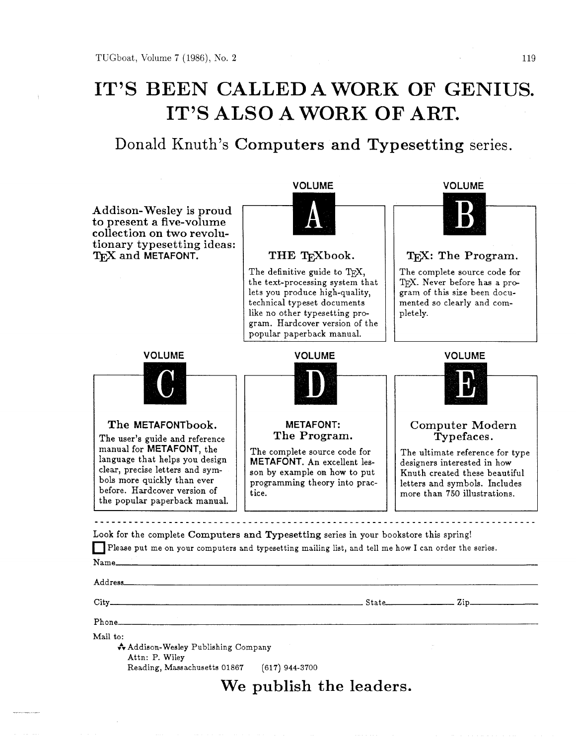# **IT'S BEEN CALLED A WORK OF GENIUS. IT'S ALSO A WORK OF ART.**

Donald Knuth's **Computers and Typesetting** series.

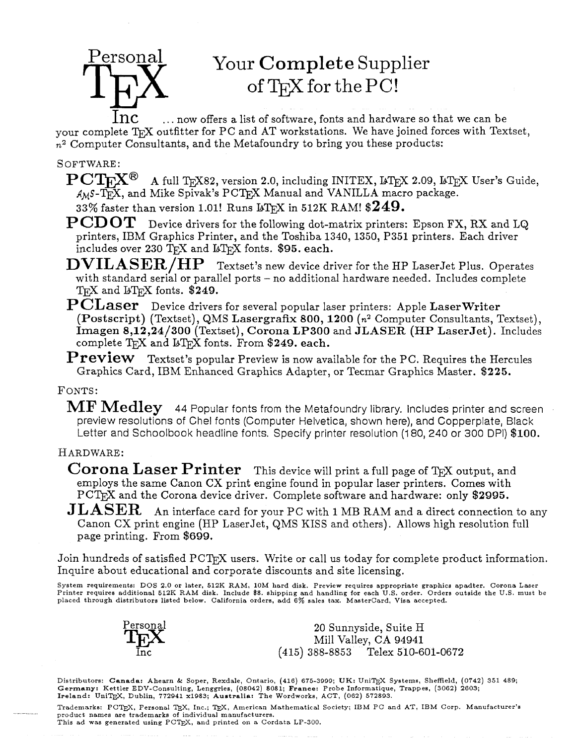# Your **Complete** Supplier of TFX for the PC!

 $~{\rm ln}c ~ ~ ~ \dots$  now offers a list of software, fonts and hardware so that we can be your complete  $T_F X$  outfitter for PC and AT workstations. We have joined forces with Textset,  $n<sup>2</sup>$  Computer Consultants, and the Metafoundry to bring you these products:

#### SOFTWARE:

Personal

 $PCTFX^{\bigcirc}$  A full TFX82, version 2.0, including INITEX, LIFX 2.09, LIFX User's Guide,  $A_M$ S-T<sub>E</sub>X, and Mike Spivak's PCT<sub>E</sub>X Manual and VANILLA macro package. 33% faster than version 1.01! Runs IsTFX in 512K RAM!  $249.$ 

- **PCDOT** Device drivers for the following dot-matrix printers: Epson FX, RX and LQ printers, IBM Graphics Printer, and the Toshiba 1340, 1350, P351 printers. Each driver includes over  $230$  TgX and LTgX fonts. \$95. each.
- **DVIL ASER/HP** Textset's new device driver for the HP LaserJet Plus. Operates with standard serial or parallel ports - no additional hardware needed. Includes complete TEX and IsTEX fonts.  $$249.$
- **PCLaser** Device drivers for several popular laser printers: Apple LaserWriter (Postscript) (Textset), QMS Lasergrafix 800, 1200 (n2 Computer Consultants, Textset), Imagen 8,12,24/300 (Textset), Corona LP300 and JLASER (HP LaserJet) . Includes complete  $T_F X$  and  $T_F X$  fonts. From \$249. each.
- **Preview** Textset's popular Preview is now available for the PC. Requires the Hercules Graphics Card, IBM Enhanced Graphics Adapter, or Tecmar Graphics Master. \$225.

#### FONTS:

MF **Medley** 44 Popular fonts from the Metafoundry library. Includes printer and screen preview resolutions of Chel fonts (Computer Helvetica, shown here), and Copperplate, Black Letter and Schoolbook headline fonts. Specify printer resolution (180, 240 or 300 DPI) \$100.

#### HARDWARE:

- **Corona Laser Printer** This device will print a full page of TEX output, and employs the same Canon CX print engine found in popular laser printers. Comes with PCT<sub>E</sub>X and the Corona device driver. Complete software and hardware: only \$2995.
- **J LASER** An interface card for your PC with 1 MB RAM and a direct connection to any Canon CX print engine (HP LaserJet, QMS KISS and others). Allows high resolution full page printing. From \$699.

Join hundreds of satisfied PCTEX users. Write or call us today for complete product information. Inquire about educational and corporate discounts and site licensing.

System requirements: DOS 2.0 or later, 512K RAM, 10M hard disk. Preview requires appropriate graphics apadter. Corona Laser<br>Printer requires additional 512K RAM disk. Include \$8. shipping and handling for each U.S. order.



20 Sunnyside, Suite H Mill Valley, CA 94941 (415) 388-8853 Telex 510-601-0672

Distributors: Canada: Ahearn & Soper, Rexdale, Ontario, (416) 675-3999; UK: UniTEX Systems, Sheffield, (0742) 351 489; Germany: Kettler EDV-Consulting, Lenggries, (08042) 8081; France: Probe Informatique, Trappes, (3062) 2603;<br>Ireland: UniTEX, Dublin, 772941 x1983; Australia: The Wordworks, ACT, (062) 572893.

Trademarks: PCTEX, Personal TEX, Inc.; TEX, American Mathematical Society; IBM PC and AT, IBM Corp. Manufacturer's product names are trademarks of individual manufacturers. This ad was generated using PCTEX, and printed on a Cordata LP-300.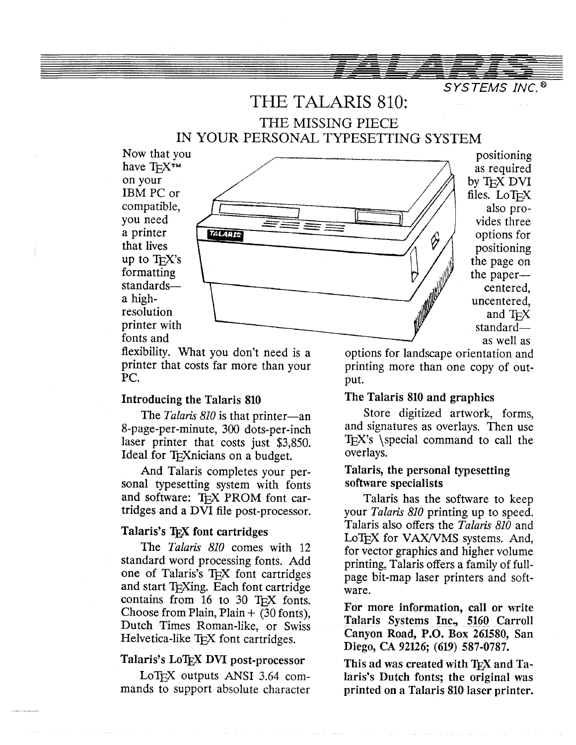## THE TALARIS 810: THE MISSING PIECE IN YOUR PERSONAL TYPESETTING SYSTEM



files. LoT<sub>EX</sub> the paper—

flexibility. What you don't need is a options for landscape orientation and printer that costs far more than your printing more than one copy of outprinter that costs far more than your printing more than one copy of out-<br>PC. PC. put.

#### Introducing the Talaris **810**

The *Talaris 810* is that printer—an 8-page-per-minute, 300 dots-per-inch laser printer that costs just \$3,850. Ideal for T<sub>F</sub>Xnicians on a budget.

And Talaris completes your personal typesetting system with fonts and software: T<sub>FX</sub> PROM font cartridges and a DVI file post-processor.

#### Talaris's T<sub>E</sub>X font cartridges

The *Talaris 810* comes with *12*  standard word processing fonts. Add one of Talaris's  $T<sub>F</sub>X$  font cartridges and start T<sub>F</sub>Xing. Each font cartridge contains from 16 to 30 TEX fonts. Choose from Plain, Plain  $+$  (30 fonts), Dutch Times Roman-like, or Swiss Helvetica-like  $T_{E}X$  font cartridges.

mands to support absolute character printed on a Talaris 810 laser printer.

### The Talaris **810** and graphics

Store digitized artwork, forms, and signatures as overlays. Then use  $TeX's$  \special command to call the overlays.

### Talaris, the personal typesetting software specialists

Talaris has the software to keep your *Talaris 810* printing up to speed. Talaris also offers the *Talaris 810* and LoT<sub>EX</sub> for VAX/VMS systems. And, for vector graphics and higher volume printing, Talaris offers a family of fullpage bit-map laser printers and software.

For more information, call or write Talaris Systems Inc, **5160** Carroll Canyon Road, P.O. Box **26lS80,** San Diego, CA 92126; (619) 587-0787.

Talaris's LoT<sub>E</sub>X DVI post-processor<br>LoT<sub>E</sub>X outputs ANSI 3.64 com-<br>laris's Dutch fonts; the original was laris's Dutch fonts; the original was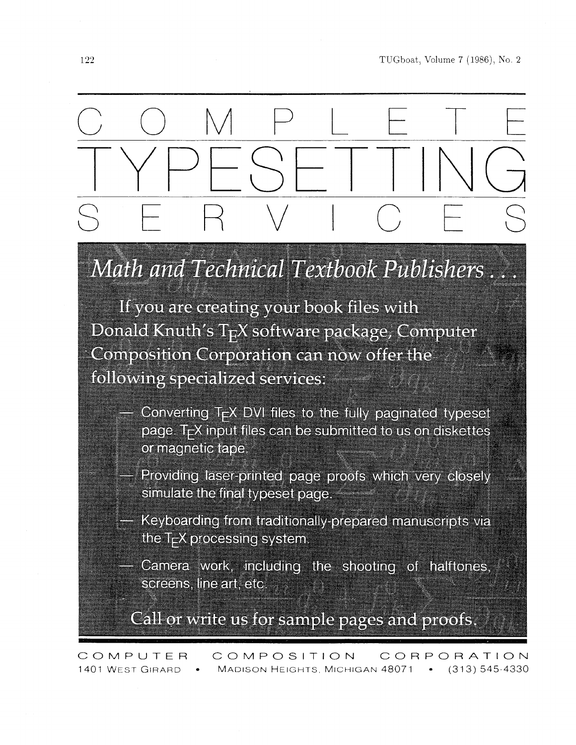

# Math and Technical Textbook Publishers

If you are creating your book files with Donald Knuth's TFX software package, Computer Composition Corporation can now offer the following specialized services:

- Converting T<sub>F</sub>X DVI files to the fully paginated typeset page. T<sub>F</sub>X input files can be submitted to us on diskettes or magnetic tape.
- Providing laser-printed page proofs which very closely simulate the final typeset page.
- Keyboarding from traditionally-prepared manuscripts via the T<sub>E</sub>X processing system.
	- Camera work, including the shooting of halftones, screens, line art, etc.

Call or write us for sample pages and proofs.

COMPOSITION COMPUTER CORPORATION MADISON HEIGHTS, MICHIGAN 48071 . (313) 545-4330 1401 WEST GIRARD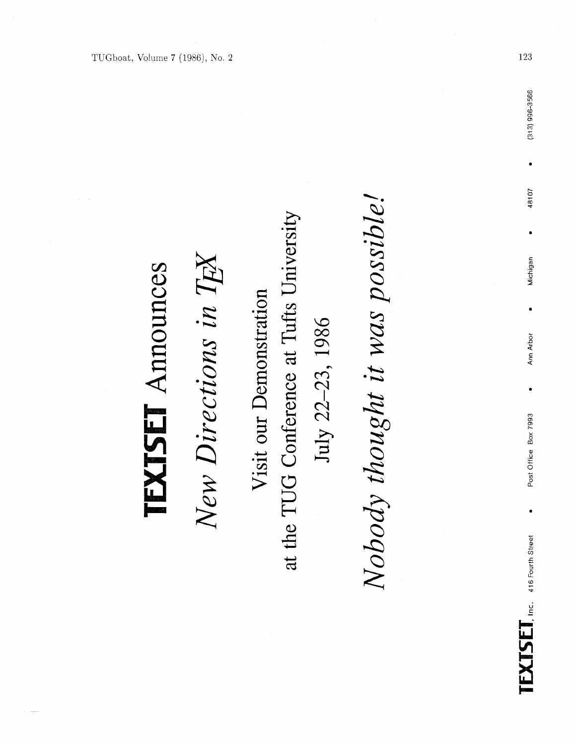| こくして<br>くらい |  |
|-------------|--|
|             |  |
|             |  |
|             |  |

New Directions in TEX

at the TUG Conference at Tufts University Visit our Demonstration July 22-23, 1986 Nobody thought it was possible!

123

 $(313)$  996-3566

48107

Michigan

 $\bullet$ 

Ann Arbor

Post Office Box 7993

 $\bullet$ 

 $\text{TXISEI},$  Inc. 416 Fourth Street